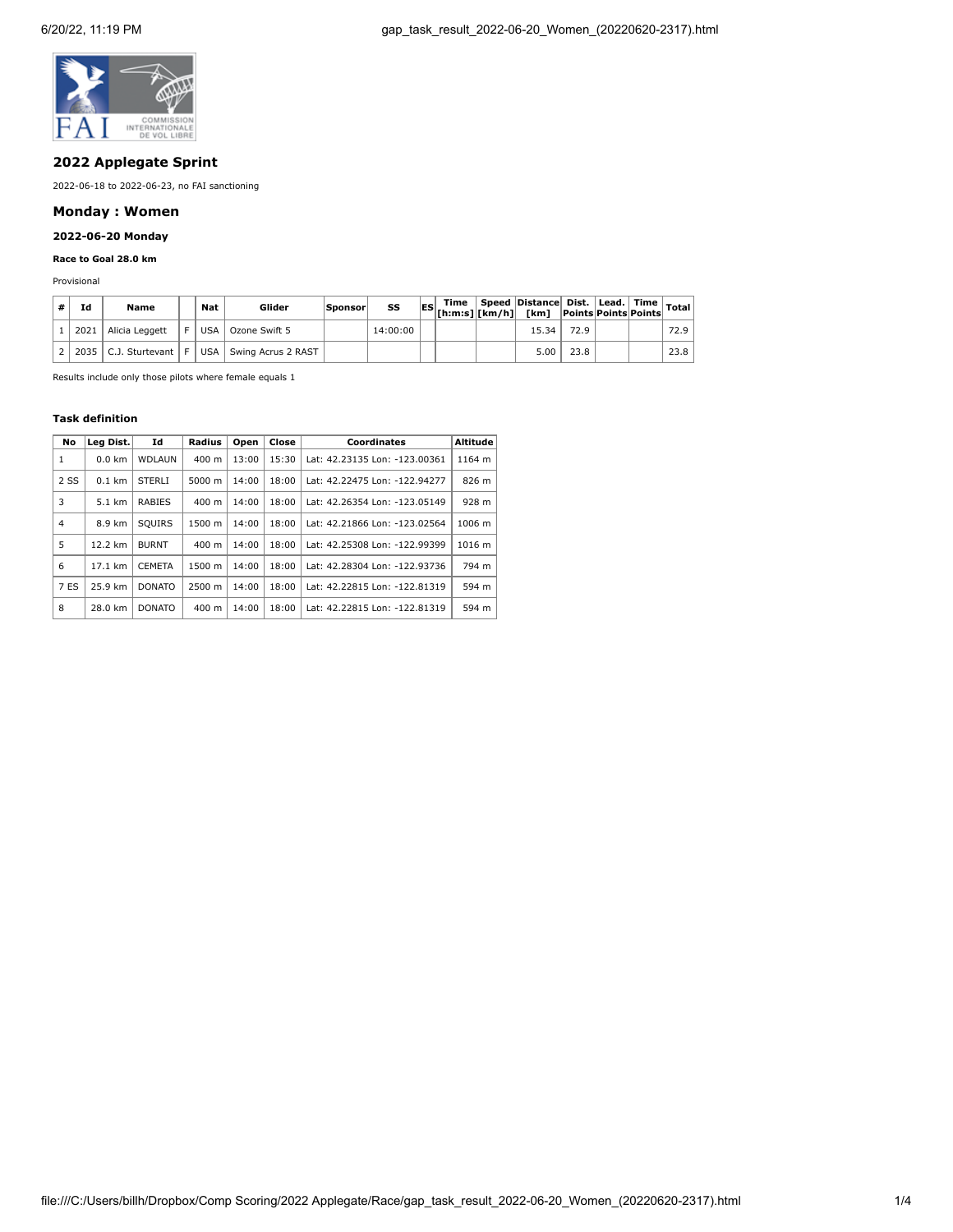

# **2022 Applegate Sprint**

2022-06-18 to 2022-06-23, no FAI sanctioning

# **Monday : Women**

# **2022-06-20 Monday**

# **Race to Goal 28.0 km**

Provisional

| Ιd | Name                         | Nat   | Glider             | Sponsor | SS       |  | $\Box$ Time Speed Distance Dist. Lead. Time $\vert$ Total<br>$ \mathsf{ES} $ $ \mathsf{limes} $ $ \mathsf{km/h} $ $ \mathsf{km} \mathsf{min} $ $ \mathsf{mins} $ $ \mathsf{points} $ $ \mathsf{v}\rangle$ |      |  |      |
|----|------------------------------|-------|--------------------|---------|----------|--|-----------------------------------------------------------------------------------------------------------------------------------------------------------------------------------------------------------|------|--|------|
|    | 2021   Alicia Leggett        | USA   | Ozone Swift 5      |         | 14:00:00 |  | 15.34                                                                                                                                                                                                     | 72.9 |  | 72.9 |
|    | $2035$   C.J. Sturtevant   F | USA I | Swing Acrus 2 RAST |         |          |  | 5.00                                                                                                                                                                                                      | 23.8 |  | 23.8 |

Results include only those pilots where female equals 1

#### **Task definition**

| No             | Lea Dist. | Id            | Radius          | Open  | Close | Coordinates                   | Altitude |
|----------------|-----------|---------------|-----------------|-------|-------|-------------------------------|----------|
| 1              | $0.0$ km  | <b>WDLAUN</b> | $400 \text{ m}$ | 13:00 | 15:30 | Lat: 42.23135 Lon: -123.00361 | 1164 m   |
| 2 SS           | $0.1$ km  | <b>STERLI</b> | 5000 m          | 14:00 | 18:00 | Lat: 42.22475 Lon: -122.94277 | 826 m    |
| 3              | 5.1 km    | <b>RABIES</b> | $400 \text{ m}$ | 14:00 | 18:00 | Lat: 42.26354 Lon: -123.05149 | 928 m    |
| $\overline{4}$ | 8.9 km    | <b>SOUIRS</b> | 1500 m          | 14:00 | 18:00 | Lat: 42.21866 Lon: -123.02564 | 1006 m   |
| 5              | 12.2 km   | <b>BURNT</b>  | $400 \text{ m}$ | 14:00 | 18:00 | Lat: 42.25308 Lon: -122.99399 | 1016 m   |
| 6              | 17.1 km   | <b>CEMETA</b> | 1500 m          | 14:00 | 18:00 | Lat: 42.28304 Lon: -122.93736 | 794 m    |
| 7 ES           | 25.9 km   | <b>DONATO</b> | 2500 m          | 14:00 | 18:00 | Lat: 42.22815 Lon: -122.81319 | 594 m    |
| 8              | 28.0 km   | <b>DONATO</b> | 400 m           | 14:00 | 18:00 | Lat: 42.22815 Lon: -122.81319 | 594 m    |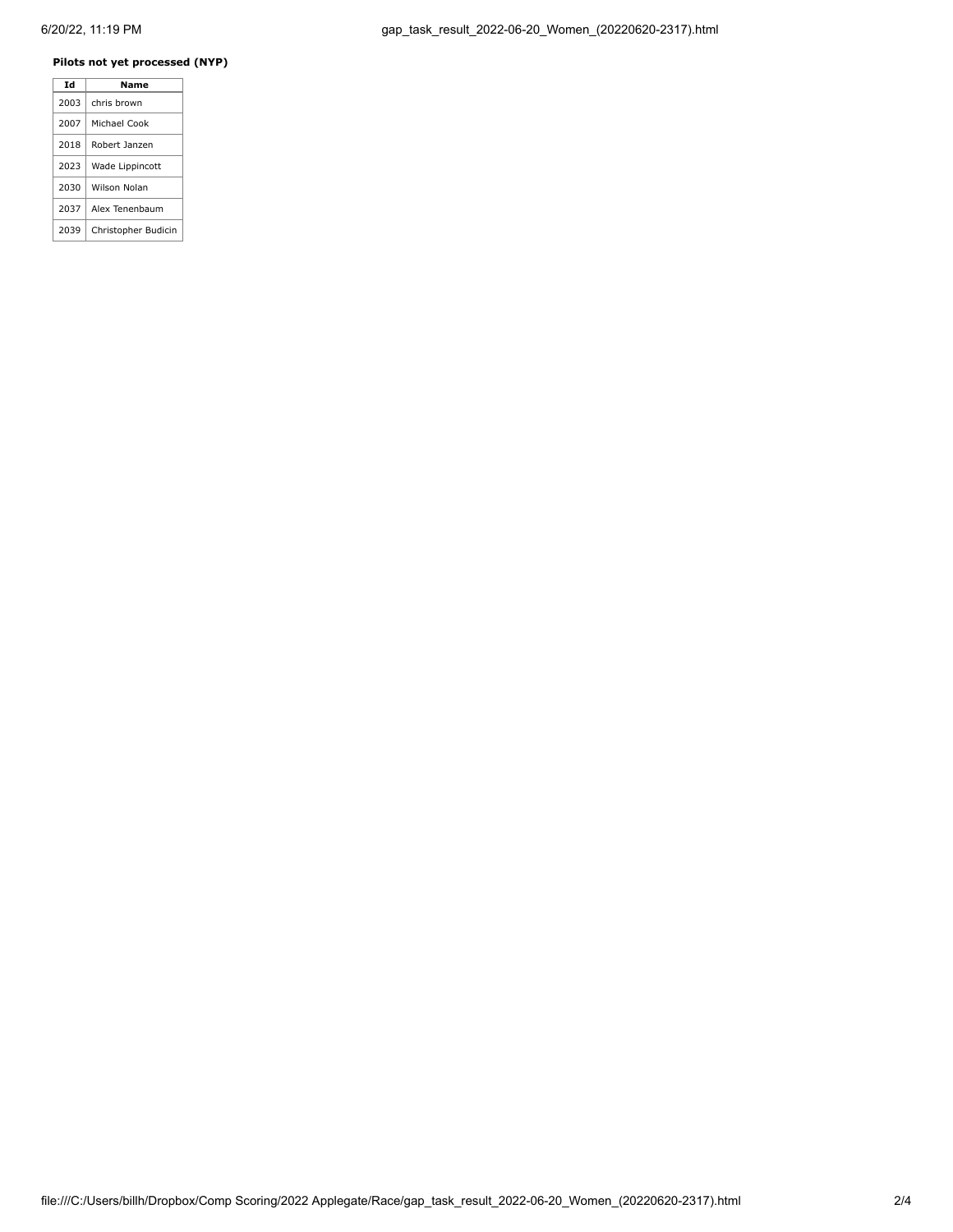# **Pilots not yet processed (NYP)**

| Td   | Name                |
|------|---------------------|
| 2003 | chris brown         |
| 2007 | Michael Cook        |
| 2018 | Robert Janzen       |
| 2023 | Wade Lippincott     |
| 2030 | Wilson Nolan        |
| 2037 | Alex Tenenbaum      |
| 2039 | Christopher Budicin |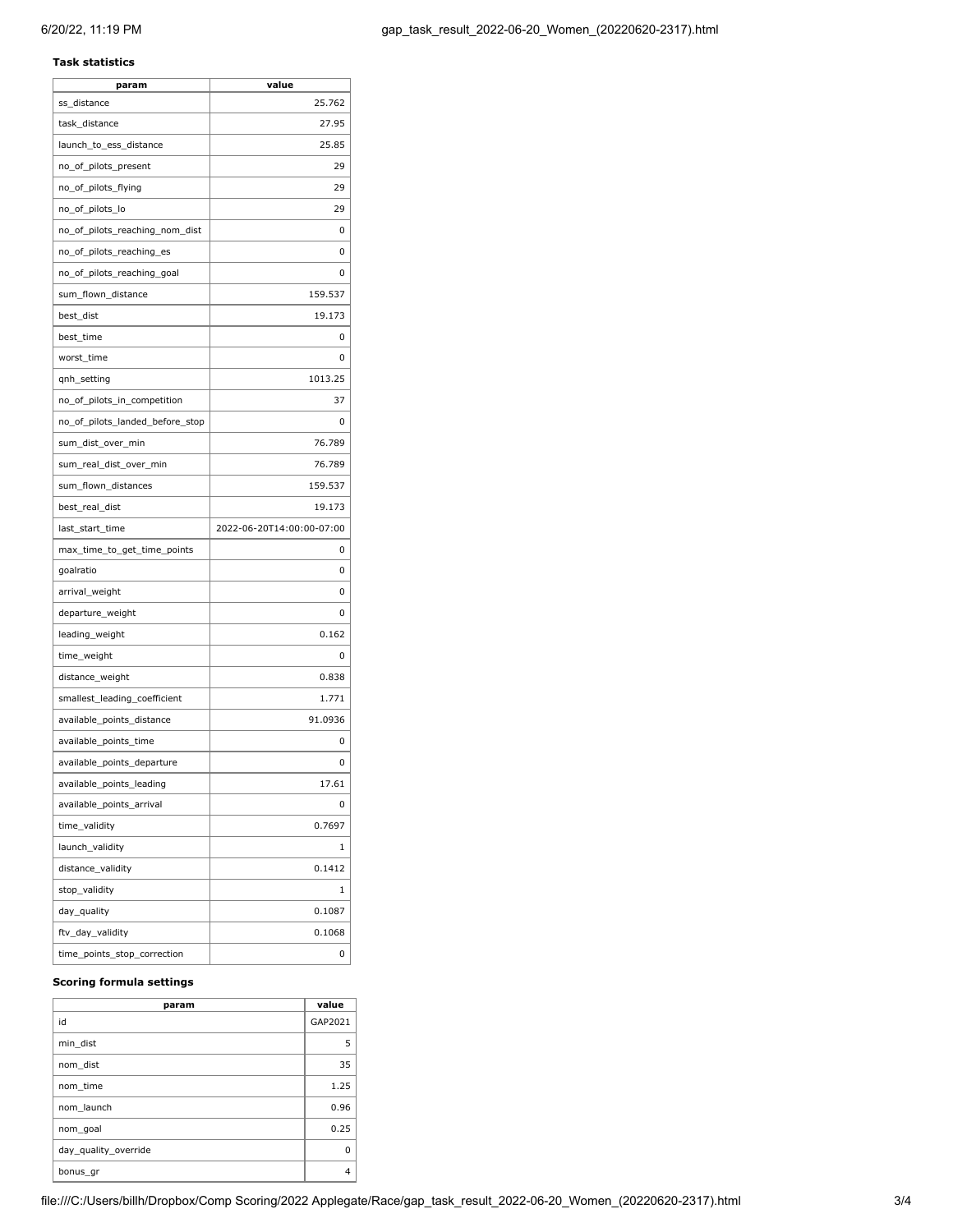## **Task statistics**

| param                           | value                     |
|---------------------------------|---------------------------|
| ss distance                     | 25.762                    |
| task distance                   | 27.95                     |
| launch_to_ess_distance          | 25.85                     |
| no_of_pilots_present            | 29                        |
| no_of_pilots_flying             | 29                        |
| no_of_pilots_lo                 | 29                        |
| no_of_pilots_reaching_nom_dist  | 0                         |
| no_of_pilots_reaching_es        | 0                         |
| no_of_pilots_reaching_goal      | 0                         |
| sum_flown_distance              | 159.537                   |
| best_dist                       | 19.173                    |
| best_time                       | 0                         |
| worst_time                      | 0                         |
| qnh_setting                     | 1013.25                   |
| no_of_pilots_in_competition     | 37                        |
| no_of_pilots_landed_before_stop | 0                         |
| sum_dist_over_min               | 76.789                    |
| sum_real_dist_over_min          | 76.789                    |
| sum_flown_distances             | 159.537                   |
| best_real_dist                  | 19.173                    |
| last_start_time                 | 2022-06-20T14:00:00-07:00 |
| max_time_to_get_time_points     | 0                         |
| goalratio                       | 0                         |
| arrival_weight                  | 0                         |
| departure_weight                | 0                         |
| leading_weight                  | 0.162                     |
| time_weight                     | 0                         |
| distance_weight                 | 0.838                     |
| smallest_leading_coefficient    | 1.771                     |
| available_points_distance       | 91.0936                   |
| available_points_time           | 0                         |
| available_points_departure      | 0                         |
| available_points_leading        | 17.61                     |
| available_points_arrival        | 0                         |
| time_validity                   | 0.7697                    |
| launch_validity                 | 1                         |
| distance_validity               | 0.1412                    |
| stop_validity                   | 1                         |
| day_quality                     | 0.1087                    |
| ftv_day_validity                | 0.1068                    |
| time_points_stop_correction     | 0                         |

## **Scoring formula settings**

| param                | value   |
|----------------------|---------|
| id                   | GAP2021 |
| min dist             | 5       |
| nom dist             | 35      |
| nom time             | 1.25    |
| nom launch           | 0.96    |
| nom goal             | 0.25    |
| day quality override | O       |
| bonus_gr             | 4       |